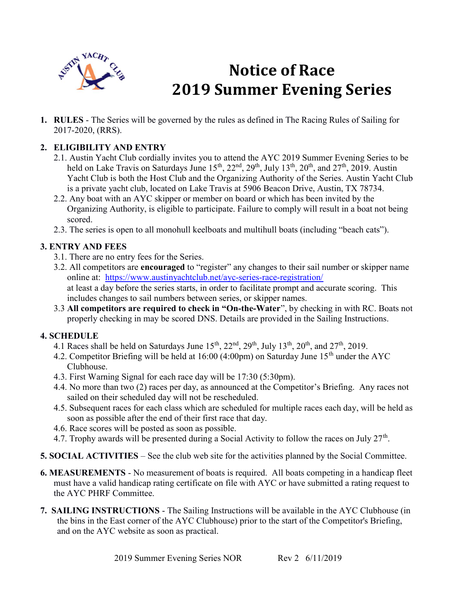

# Notice of Race 2019 Summer Evening Series

1. RULES - The Series will be governed by the rules as defined in The Racing Rules of Sailing for 2017-2020, (RRS).

# 2. ELIGIBILITY AND ENTRY

- 2.1. Austin Yacht Club cordially invites you to attend the AYC 2019 Summer Evening Series to be held on Lake Travis on Saturdays June  $15^{th}$ ,  $22^{nd}$ ,  $29^{th}$ , July  $13^{th}$ ,  $20^{th}$ , and  $27^{th}$ ,  $2019$ . Austin Yacht Club is both the Host Club and the Organizing Authority of the Series. Austin Yacht Club is a private yacht club, located on Lake Travis at 5906 Beacon Drive, Austin, TX 78734.
- 2.2. Any boat with an AYC skipper or member on board or which has been invited by the Organizing Authority, is eligible to participate. Failure to comply will result in a boat not being scored.
- 2.3. The series is open to all monohull keelboats and multihull boats (including "beach cats").

#### 3. ENTRY AND FEES

- 3.1. There are no entry fees for the Series.
- 3.2. All competitors are encouraged to "register" any changes to their sail number or skipper name online at: https://www.austinyachtclub.net/ayc-series-race-registration/ at least a day before the series starts, in order to facilitate prompt and accurate scoring. This includes changes to sail numbers between series, or skipper names.
- 3.3 All competitors are required to check in "On-the-Water", by checking in with RC. Boats not properly checking in may be scored DNS. Details are provided in the Sailing Instructions.

### 4. SCHEDULE

- 4.1 Races shall be held on Saturdays June  $15^{th}$ ,  $22^{nd}$ ,  $29^{th}$ , July  $13^{th}$ ,  $20^{th}$ , and  $27^{th}$ ,  $2019$ .
- 4.2. Competitor Briefing will be held at 16:00 (4:00pm) on Saturday June 15<sup>th</sup> under the AYC Clubhouse.
- 4.3. First Warning Signal for each race day will be 17:30 (5:30pm).
- 4.4. No more than two (2) races per day, as announced at the Competitor's Briefing. Any races not sailed on their scheduled day will not be rescheduled.
- 4.5. Subsequent races for each class which are scheduled for multiple races each day, will be held as soon as possible after the end of their first race that day.
- 4.6. Race scores will be posted as soon as possible.
- 4.7. Trophy awards will be presented during a Social Activity to follow the races on July  $27<sup>th</sup>$ .
- 5. SOCIAL ACTIVITIES See the club web site for the activities planned by the Social Committee.
- 6. MEASUREMENTS No measurement of boats is required. All boats competing in a handicap fleet must have a valid handicap rating certificate on file with AYC or have submitted a rating request to the AYC PHRF Committee.
- 7. SAILING INSTRUCTIONS The Sailing Instructions will be available in the AYC Clubhouse (in the bins in the East corner of the AYC Clubhouse) prior to the start of the Competitor's Briefing, and on the AYC website as soon as practical.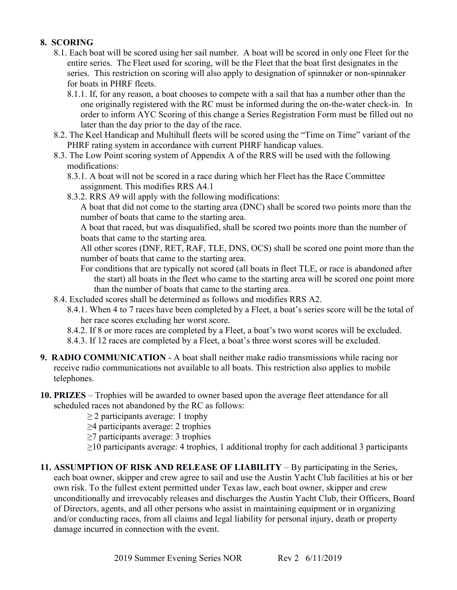#### 8. SCORING

- 8.1. Each boat will be scored using her sail number. A boat will be scored in only one Fleet for the entire series. The Fleet used for scoring, will be the Fleet that the boat first designates in the series. This restriction on scoring will also apply to designation of spinnaker or non-spinnaker for boats in PHRF fleets.
	- 8.1.1. If, for any reason, a boat chooses to compete with a sail that has a number other than the one originally registered with the RC must be informed during the on-the-water check-in. In order to inform AYC Scoring of this change a Series Registration Form must be filled out no later than the day prior to the day of the race.
- 8.2. The Keel Handicap and Multihull fleets will be scored using the "Time on Time" variant of the PHRF rating system in accordance with current PHRF handicap values.
- 8.3. The Low Point scoring system of Appendix A of the RRS will be used with the following modifications:
	- 8.3.1. A boat will not be scored in a race during which her Fleet has the Race Committee assignment. This modifies RRS A4.1
	- 8.3.2. RRS A9 will apply with the following modifications:

 A boat that did not come to the starting area (DNC) shall be scored two points more than the number of boats that came to the starting area.

 A boat that raced, but was disqualified, shall be scored two points more than the number of boats that came to the starting area.

 All other scores (DNF, RET, RAF, TLE, DNS, OCS) shall be scored one point more than the number of boats that came to the starting area.

- For conditions that are typically not scored (all boats in fleet TLE, or race is abandoned after the start) all boats in the fleet who came to the starting area will be scored one point more than the number of boats that came to the starting area.
- 8.4. Excluded scores shall be determined as follows and modifies RRS A2.
	- 8.4.1. When 4 to 7 races have been completed by a Fleet, a boat's series score will be the total of her race scores excluding her worst score.
	- 8.4.2. If 8 or more races are completed by a Fleet, a boat's two worst scores will be excluded.
	- 8.4.3. If 12 races are completed by a Fleet, a boat's three worst scores will be excluded.
- 9. RADIO COMMUNICATION A boat shall neither make radio transmissions while racing nor receive radio communications not available to all boats. This restriction also applies to mobile telephones.
- 10. PRIZES Trophies will be awarded to owner based upon the average fleet attendance for all scheduled races not abandoned by the RC as follows:

 $\geq$  2 participants average: 1 trophy

- ≥4 participants average: 2 trophies
- ≥7 participants average: 3 trophies
- $\geq$ 10 participants average: 4 trophies, 1 additional trophy for each additional 3 participants
- 11. ASSUMPTION OF RISK AND RELEASE OF LIABILITY By participating in the Series, each boat owner, skipper and crew agree to sail and use the Austin Yacht Club facilities at his or her own risk. To the fullest extent permitted under Texas law, each boat owner, skipper and crew unconditionally and irrevocably releases and discharges the Austin Yacht Club, their Officers, Board of Directors, agents, and all other persons who assist in maintaining equipment or in organizing and/or conducting races, from all claims and legal liability for personal injury, death or property damage incurred in connection with the event.